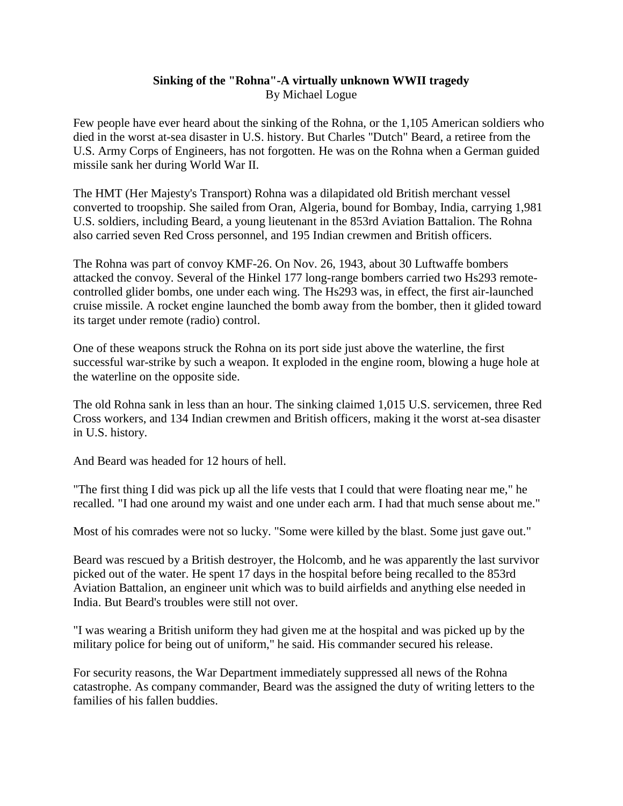## **Sinking of the "Rohna"-A virtually unknown WWII tragedy** By Michael Logue

Few people have ever heard about the sinking of the Rohna, or the 1,105 American soldiers who died in the worst at-sea disaster in U.S. history. But Charles "Dutch" Beard, a retiree from the U.S. Army Corps of Engineers, has not forgotten. He was on the Rohna when a German guided missile sank her during World War II.

The HMT (Her Majesty's Transport) Rohna was a dilapidated old British merchant vessel converted to troopship. She sailed from Oran, Algeria, bound for Bombay, India, carrying 1,981 U.S. soldiers, including Beard, a young lieutenant in the 853rd Aviation Battalion. The Rohna also carried seven Red Cross personnel, and 195 Indian crewmen and British officers.

The Rohna was part of convoy KMF-26. On Nov. 26, 1943, about 30 Luftwaffe bombers attacked the convoy. Several of the Hinkel 177 long-range bombers carried two Hs293 remotecontrolled glider bombs, one under each wing. The Hs293 was, in effect, the first air-launched cruise missile. A rocket engine launched the bomb away from the bomber, then it glided toward its target under remote (radio) control.

One of these weapons struck the Rohna on its port side just above the waterline, the first successful war-strike by such a weapon. It exploded in the engine room, blowing a huge hole at the waterline on the opposite side.

The old Rohna sank in less than an hour. The sinking claimed 1,015 U.S. servicemen, three Red Cross workers, and 134 Indian crewmen and British officers, making it the worst at-sea disaster in U.S. history.

And Beard was headed for 12 hours of hell.

"The first thing I did was pick up all the life vests that I could that were floating near me," he recalled. "I had one around my waist and one under each arm. I had that much sense about me."

Most of his comrades were not so lucky. "Some were killed by the blast. Some just gave out."

Beard was rescued by a British destroyer, the Holcomb, and he was apparently the last survivor picked out of the water. He spent 17 days in the hospital before being recalled to the 853rd Aviation Battalion, an engineer unit which was to build airfields and anything else needed in India. But Beard's troubles were still not over.

"I was wearing a British uniform they had given me at the hospital and was picked up by the military police for being out of uniform," he said. His commander secured his release.

For security reasons, the War Department immediately suppressed all news of the Rohna catastrophe. As company commander, Beard was the assigned the duty of writing letters to the families of his fallen buddies.